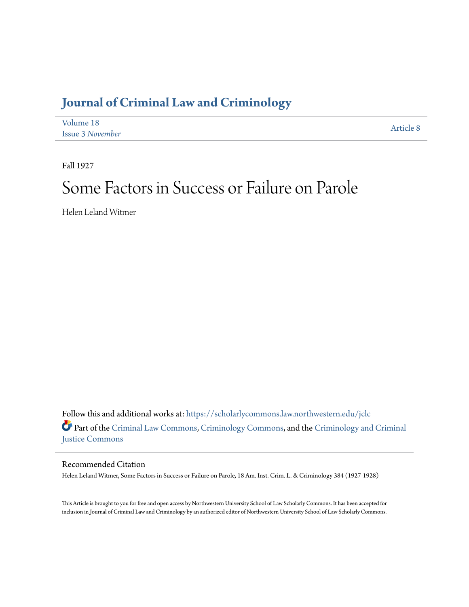## **[Journal of Criminal Law and Criminology](https://scholarlycommons.law.northwestern.edu/jclc?utm_source=scholarlycommons.law.northwestern.edu%2Fjclc%2Fvol18%2Fiss3%2F8&utm_medium=PDF&utm_campaign=PDFCoverPages)**

| Volume 18               | Article 8 |
|-------------------------|-----------|
| <b>Issue 3 November</b> |           |

Fall 1927

# Some Factors in Success or Failure on Parole

Helen Leland Witmer

Follow this and additional works at: [https://scholarlycommons.law.northwestern.edu/jclc](https://scholarlycommons.law.northwestern.edu/jclc?utm_source=scholarlycommons.law.northwestern.edu%2Fjclc%2Fvol18%2Fiss3%2F8&utm_medium=PDF&utm_campaign=PDFCoverPages) Part of the [Criminal Law Commons](http://network.bepress.com/hgg/discipline/912?utm_source=scholarlycommons.law.northwestern.edu%2Fjclc%2Fvol18%2Fiss3%2F8&utm_medium=PDF&utm_campaign=PDFCoverPages), [Criminology Commons](http://network.bepress.com/hgg/discipline/417?utm_source=scholarlycommons.law.northwestern.edu%2Fjclc%2Fvol18%2Fiss3%2F8&utm_medium=PDF&utm_campaign=PDFCoverPages), and the [Criminology and Criminal](http://network.bepress.com/hgg/discipline/367?utm_source=scholarlycommons.law.northwestern.edu%2Fjclc%2Fvol18%2Fiss3%2F8&utm_medium=PDF&utm_campaign=PDFCoverPages) [Justice Commons](http://network.bepress.com/hgg/discipline/367?utm_source=scholarlycommons.law.northwestern.edu%2Fjclc%2Fvol18%2Fiss3%2F8&utm_medium=PDF&utm_campaign=PDFCoverPages)

## Recommended Citation

Helen Leland Witmer, Some Factors in Success or Failure on Parole, 18 Am. Inst. Crim. L. & Criminology 384 (1927-1928)

This Article is brought to you for free and open access by Northwestern University School of Law Scholarly Commons. It has been accepted for inclusion in Journal of Criminal Law and Criminology by an authorized editor of Northwestern University School of Law Scholarly Commons.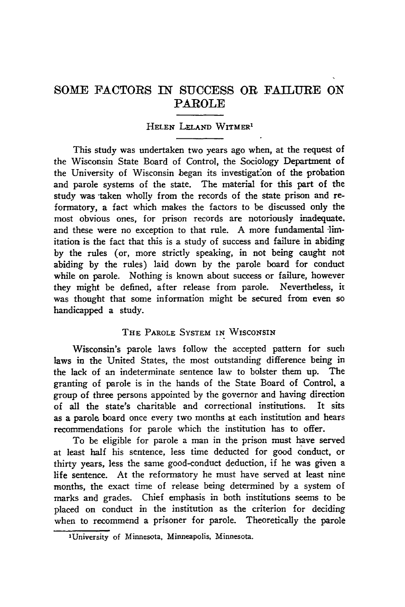## SOME FACTORS IN SUCCESS OR FAILURE **ON** PAROLE

## **HELEN LELN WITMER"**

This study was undertaken two years ago when, at the request of the Wisconsin State Board of Control, the Sociology Department of the University of Wisconsin began its investigat'on of the probation and parole systems of the state. The material for this part of the study was taken wholly from the records of the state prison and reformatory, a fact which makes the factors to be discussed only the most obvious ones, for prison records are notoriously inadequate, and these were no exception to that rule. A more fundamental limitation is the fact that this is a study of success and failure in abiding **by** the rules (or, more strictly speaking, in not being caught not abiding **by** the rules) laid down **by** the parole board for conduct while on parole. Nothing is known about success or failure, however they might be defined, after release from parole. Nevertheless, **it** was thought that some information might be secured from even so handicapped a study.

## **THE** PAROLE SYSTEM **IN** WISCONSIN

Wisconsin's parole laws follow the accepted pattern for such laws in the United States, the most outstanding difference being in the lack of an indeterminate sentence law to bolster them up. The granting of parole is in the hands of the State Board of Control, a group of three persons appointed **by** the governor and having direction of all the state's charitable and correctional institutions. It sits as a parole board once every two months at each institution and hears recommendations for parole which the institution has to offer.

To be eligible for parole a man in the prison must have served at least half his sentence, less time deducted for good conduct, or thirty years, less the same good-conduct deduction, if he was given a life sentence. At the reformatory he must have served at least nine months, the exact time of release being determined **by** a system **of** marks and grades. Chief emphasis in both institutions seems to be placed on conduct in the institution as the criterion for deciding when to recommend a prisoner for parole. Theoretically the parole

lUniversity **of Minnesota,** Minneapolis, **Minnesota.**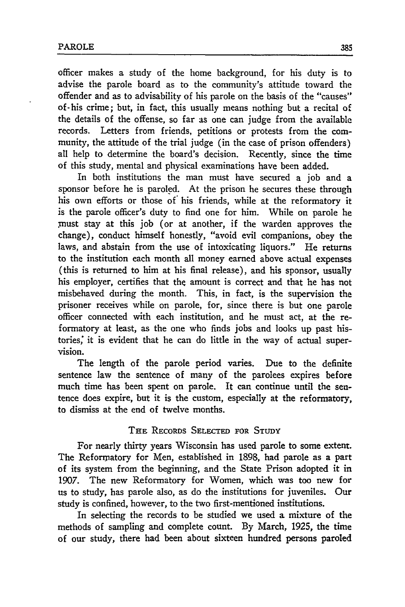officer makes a study of the home background, for his duty is to advise the parole board as to the community's attitude toward the offender and as to advisability of his parole on the basis of the "causes" of-his crime; but, in fact, this usually means nothing but a recital of the details of the offense, so far as one can judge from the available records. Letters from friends, petitions or protests from the community, the attitude of the trial judge (in the case of prison offenders) all help to determine the board's decision. Recently, since the time of this study, mental and physical examinations have been added.

In both institutions the man must have secured a job and a sponsor before he is paroled. At the prison he secures these through his own efforts or those of his friends, while at the reformatory it is the parole officer's duty to find one for him. While on parole he must stay at this job (or at another, if the warden approves the change), conduct himself honestly, "avoid evil companions, obey the laws, and abstain from the use of intoxicating liquors." He returns to the institution each month all money earned above actual expenses (this is returned to him at his final release), and his sponsor, usually his employer, certifies that the amount is correct and that he has not misbehaved during the month. This, in fact, is the supervision the prisoner receives while on parole, for, since there is but one parole officer connected with each institution, and he must act, at the reformatory at least, as the one who finds jobs and looks up past histories; it is evident that he can do little in the way of actual supervision.

The length of the parole period varies. Due to the definite sentence law the sentence of many of the parolees expires before much time has been spent on parole. It can continue until the sentence does expire, but it is the custom, especially at the reformatory, to dismiss at the end of twelve months.

## THE RECORDS SELECTED FOR **STUDY**

For nearly thirty years Wisconsin has used parole to some extent. The Reforrmatory for Men, established in 1898, had parole as a part of its system from the beginning, and the State Prison adopted it in 1907. The new Reformatory for Women, which was too new for us to study, has parole also, as do the institutions for juveniles. Our study is confined, however, to the two first-mentioned institutions.

In selecting the records to be studied we used a mixture of the methods of sampling and complete count. By March, 1925, the time of our study, there had been about sixteen hundred persons paroled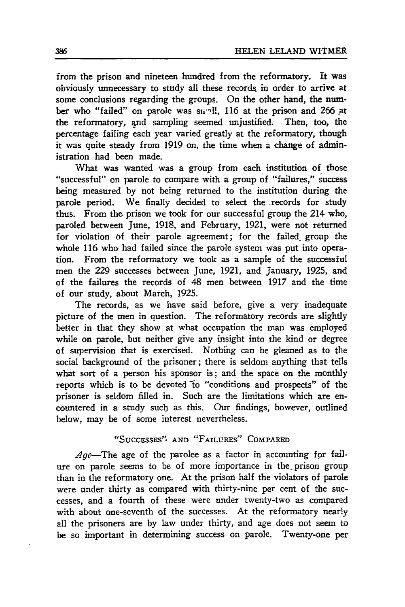from the prison and nineteen hundred from the reformatory. It was obviously unnecessary to study all these records in order to arrive at some conclusions regarding the groups. On the other hand, the number who "failed" on parole was sunll, 116 at the prison and 266 at the reformatory, and sampling seemed unjustified. Then, too, the percentage failing each year varied greatly at the reformatory, though it was quite steady from 1919 on, the time when a change of administration had been made.

What was wanted was a group from each institution of those "successful" on parole to compare with a group of "failures," success being measured by not being returned to the institution during the parole period. We finally decided to select the records for study thus. From the prison we took for our successful group the 214 who, paroled between June, 1918, and February, 1921, were not returned for violation **of** their parole agreement; for the failed. group the whole 116 who had failed since the parole system was put into operation. From the reformatory we took as a sample of the successful men the *229* successes between June, 1921, and January, 1925, and of the failures the records of 48 men between 1917 and the time of our study, about March, 1925.

The records, as we have said before, give a very inadequate picture of the men in question. The reformatory records are slightly better in that they show at what occupation the man was employed while on parole, but neither give any insight into the kind or degree of supervision that is exercised. Nothihg can be gleaned as to the social background of the prisoner; there is seldom anything that tells what sort of a person his sponsor is; and the space on the monthly reports which is to be devoted to "conditions and prospects" of the prisoner is seldom filled in. Such are the limitations which are encountered in a study such as this. Our findings, however, outlined below, may be of some interest nevertheless.

## "SuccEssEs" **AND** "FAILURES" COMPARED

Age-The age of the parolee as a factor in accounting for failure on parole seems to be of more importance in the prison group than in the reformatory one. At the prison half the violators of parole were under thirty as compared with thirty-nine per cent of the successes, and a fourth of these were under twenty-two as compared with about one-seventh of the successes. At the reformatory nearly all the prisoners are by law under thirty, and age does not seem to be so important in determining success on parole. Twenty-one per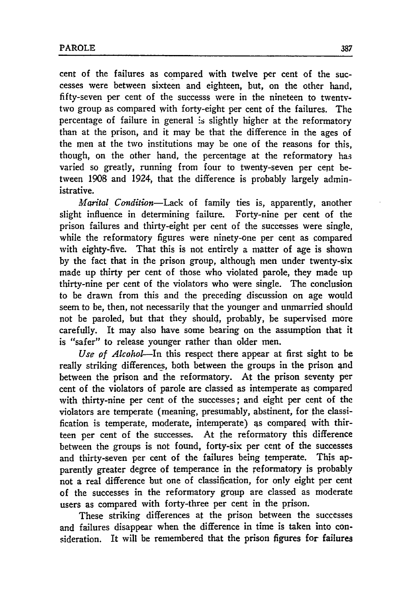cent of the failures as compared with twelve per cent of the successes were between sixteen and eighteen, but, on the other hand, fifty-seven per cent of the successs were in the nineteen to twentytwo group as compared with forty-eight per cent of the failures. The percentage of failure in general **:s** slightly higher at the reformatory than at the prison, and it may be that the difference in the ages of the men at the two institutions may be one of the reasons for this, though, on the other hand, the percentage at the reformatory has varied so greatly, running from four to twenty-seven per cent between 1908 and 1924, that the difference is probably largely administrative.

*Marital Condition-Lack* of family ties is, apparently, another slight influence in determining failure. Forty-nine per cent of the prison failures and thirty-eight per cent of the successes were single, while the reformatory figures were ninety-one per cent as compared with eighty-five. That this is not entirely a matter of age is shown by the fact that in the prison group, although men under twenty-six made up thirty per cent of those who violated parole, they made up thirty-nine per cent of the violators who were single. The conclusion to be drawn from this and the preceding discussion on age would seem to be, then, not necessarily that the younger and unmarried should not be paroled, but that they should, probably, be supervised more carefully. It may also have some bearing on the assumption that it is "safer" to release younger rather than older men.

*Use of Alcohol-In* this respect there appear at first sight to be really striking differences, both between the groups in the prison and between the prison and the reformatory. At the prison seventy per cent of the violators of parole are classed as intemperate as compared with thirty-nine per cent of the successes; and eight per cent of the violators are temperate (meaning, presumably, abstinent, for the classification is temperate, moderate, intemperate) 4s compared with thirteen per cent of the successes. At the reformatory this difference between the groups is not found, forty-six per cent of the successes and thirty-seven per cent of the failures being temperate. This apparently greater degree of temperance in the reformatory is probably not a real difference but one of classification, for only eight per cent of the successes in the reformatory group are classed as moderate users as compared with forty-three per cent in the prison.

These striking differences at the prison between the successes and failures disappear when the difference in time is taken into consideration. It will be remembered that the prison figures for failures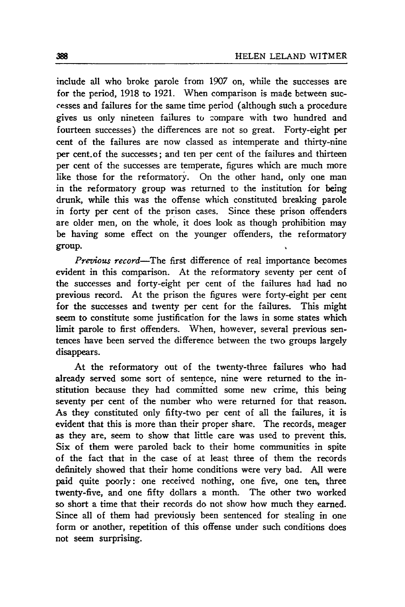include all who broke parole from 1907 on, while the successes are for the period, 1918 to 1921. When comparison is made between successes and failures for the same time period (although such a procedure gives us only nineteen failures to zompare with two hundred and fourteen successes) the differences are not so great. Forty-eight per cent of the failures are now classed as intemperate and thirty-nine per cent.of the successes; and ten per cent of the failures and thirteen per cent of the successes are temperate, figures which are much more like those for the reformatory. On the other hand, only one man in the reformatory group was returned to the institution for being drunk, while this was the offense which constituted breaking parole in forty per cent of the prison cases. Since these prison offenders are older men, on the whole, it does look as though prohibition may be having some effect on the younger offenders, the reformatory group.

*Previous record*—The first difference of real importance becomes evident in this comparison. At the reformatory seventy per cent of the successes and forty-eight per cent of the failures had had no previous record. At the prison the figures were forty-eight per cent for the successes and twenty per cent for the failures. This might seem to constitute some justification for the laws in some states which limit parole to first offenders. When, however, several previous sentences have been served the difference between the two groups largely disappears.

At the reformatory out of the twenty-three failures who had already served some sort of sentence, nine were returned to the institution because they had committed some new crime, this being seventy per cent of the number who were returned for that reason. As they constituted only fifty-two per cent of all the failures, it is evident that this is more than their proper share. The records, meager as they are, seem to show that little care was used to prevent this. Six of them were paroled back to their home communities in spite of the fact that in the case of at least three of them the records definitely showed that their home conditions were very bad. All were paid quite poorly: one received nothing, one five, one ten, three twenty-five, and one fifty dollars a month. The other two worked so short a time that their records do not show how much they earned. Since all of them had previously been sentenced for stealing in one form or another, repetition of this offense under such conditions does not seem surprising.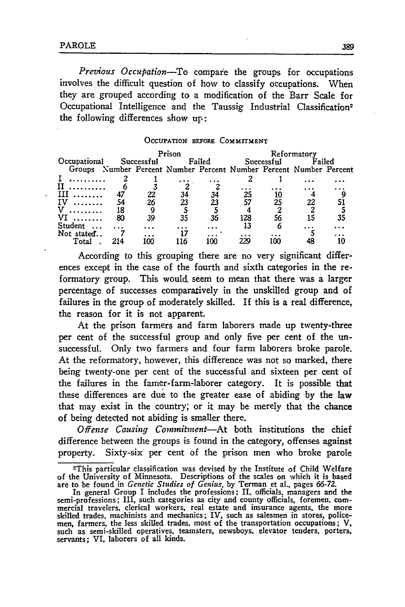*Prezious Occupation-To* compare the groups for occupations involves the difficult question of how to classify occupations. When they are grouped according to a modification of the Barr Scale for Occupational Intelligence and the Taussig Industrial Classification<sup>2</sup> the following differences show up:

#### OCCUPATION **BEFORE COMMITMENT**

|              |     |            | Prison |        | Reformatory                                                 |            |        |    |
|--------------|-----|------------|--------|--------|-------------------------------------------------------------|------------|--------|----|
| Occupational |     | Successful |        | Failed |                                                             | Successful | Failed |    |
| Groups       |     |            |        |        | Number Percent Number Percent Number Percent Number Percent |            |        |    |
|              |     |            |        |        |                                                             |            |        |    |
|              |     |            |        |        |                                                             |            |        |    |
| ш            |     | 22         | 34     | 34     | 25                                                          |            |        |    |
| IV           | 54  | 26         | 23     |        | 57                                                          | 25         | 22     |    |
|              | 18  |            |        |        |                                                             |            |        |    |
|              | 80  | 39         | 35     | 36     | 128                                                         | 56         | 15     | 35 |
| Student      |     |            |        |        |                                                             |            |        |    |
| Not stated   |     |            |        |        |                                                             |            |        |    |
| Tota         | 214 |            |        |        |                                                             |            |        |    |

According to this grouping there are no very significant differences except in the case of the fourth and sixth categories in the reformatory group. This would, seem to mean that there was a larger percentage of successes comparatively in the unskilled group and of failures in the group of moderately skilled. If this is a real difference, the reason for it is not apparent.

At the prison farmers and farm laborers made up twenty-three per cent of the successful group and only five per cent of the unsuccessful. Only two farmers and four farm laborers broke parole. At the reformatory, however, this difference was not so marked, there being twenty-one per cent of the successful and sixteen per cent of the failures in the famer-farm-laborer category. It is possible that these differences are due to the greater ease of abiding by the law that may exist in the country; or it may be merely that the chance of being detected not abiding is smaller there.

Offense Causing Commitment-At both institutions the chief difference between the groups is found in the category, offenses against property. Sixty-six per cent of the prison men who broke parole

<sup>2</sup> This particular classification was devised by the Institute of Child Welfare of the University of Minnesota. Descriptions of the scales on which it is based are to be found in *Genetic Studies* of Genius, by Terman et al., pages 66-72.

In general Group I includes the professions; II, officials, managers and the semi-professions; III, such categories as city and county officials, foremen, com-<br>mercial travelers, clerical workers, real estate and insurance agents, the more<br>skilled trades, machinists and mechanics; IV, such as sales men, farmers, the less skilled trades, most of the transportation occupations; V, such as semi-skilled operatives, teamsters, newsboys, elevator tenders, porters, servants; VI, laborers of all kinds.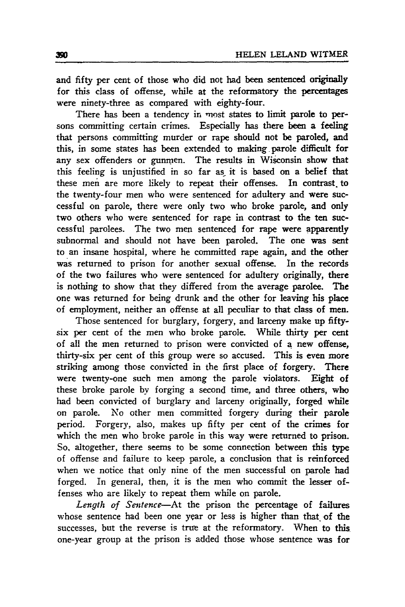and fifty per cent of those who did not had been sentenced originally for this class of offense, while at the reformatory the percentages were ninety-three as compared with eighty-four.

There has been a tendency in most states to limit parole to persons committing certain crimes. Especially has there been a feeling that persons committing murder or rape should not be paroled, and this, in some states has been extended to making parole difficult for any sex offenders or gunmen. The results in Wisconsin show that this feeling is unjustified in so far as it is based on a belief that these men are more likely to repeat their offenses. In contrast to the twenty-four men who were sentenced for adultery and were successful on parole, there were only two who broke parole, and only two others who were sentenced for rape in contrast to the ten successful parolees. The two men sentenced for rape were apparently subnormal and should not have been paroled. The one was sent to an insane hospital, where he committed rape again, and the other was returned to prison for another sexual offense. In the records of the two failures who were sentenced for adultery originally, there is nothing to show that they differed from the average parolee. The one was returned for being drunk and the other for leaving his place of employment, neither an offense at all peculiar to that class of men.

Those sentenced for burglary, forgery, and larceny make up fiftysix per cent of the men who broke parole. While thirty per cent of all the men returned to prison were convicted of a new offense, thirty-six per cent of this group were so accused. This is even more striking among those convicted in the first place of forgery. There were twenty-one such men among the parole violators. Eight of these broke parole by forging a second time, and three others, who had been convicted of burglary and larceny originally, forged while on parole. No other men committed forgery during their parole period. Forgery, also, makes up fifty per cent of the crimes for which the men who broke parole in this way were returned to prison. So, altogether, there seems to be some connection between this type of offense and failure to keep parole, a conclusion that is reinforced when we notice that only nine of the men successful on parole had forged. In general, then, it is the men who commit the lesser offenses who are likely to repeat them while on parole.

*Length of Sentence-At* the prison the percentage of failures whose sentence had been one year or less is higher than that of the successes, but the reverse is true at the reformatory. When to this one-year group at the prison is added those whose sentence was for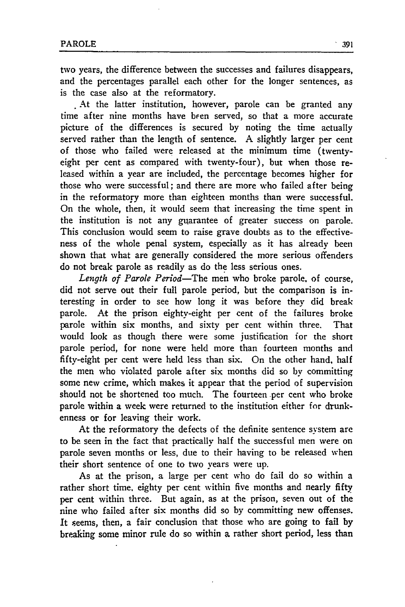two years, the difference between the successes and failures disappears, and the percentages parallel each other for the longer sentences, as is the case also at the reformatory.

At the latter institution, however, parole can be granted any time after nine months have been served, so that a more accurate picture of the differences is secured by noting the time actually served rather than the length of sentence. A slightly larger per cent of those who failed were released at the minimum time (twentyeight per cent as compared with twenty-four), but when those released within a year are included, the percentage becomes higher for those who were successful; and there are more who failed after being in the reformatory more than eighteen months than were successful. On the whole, then, it would seem that increasing the time spent in the institution is not any guarantee of greater success on parole. This conclusion would seem to raise grave doubts as to the effectiveness of the whole penal system, especially as it has already been shown that what are generally considered the more serious offenders do not break parole as readily as do the less serious ones.

Length of Parole Period-The men who broke parole, of course, did not serve out their full parole period, but the comparison is interesting in order to see how long it was before they did break parole. At the prison eighty-eight per cent of the failures broke parole within six months, and sixty per cent within three. That would look as though there were some justification for the short parole period, for none were held more than fourteen months and fifty-eight per cent were held less than six. On the other hand, half the men who violated parole after six months did so by committing some new crime, which makes it appear that the period of supervision should not be shortened too much. The fourteen per cent who broke parole within a week were returned to the institution either for drunkenness or for leaving their work.

At the reformatory the defects of the definite sentence system are to be seen in the fact that practically half the successful men were on parole seven months or less, due to their having to be released when their short sentence of one to two years were up.

As at the prison, a large per cent who do fail do so within a rather short time, eighty per cent within five months and nearly fifty. per cent within three. But again, as at the prison, seven out of the nine who failed after six months did so by committing new offenses. It seems, then, a fair conclusion that those who are going to fail by breaking some minor rule do so within a rather short period, less than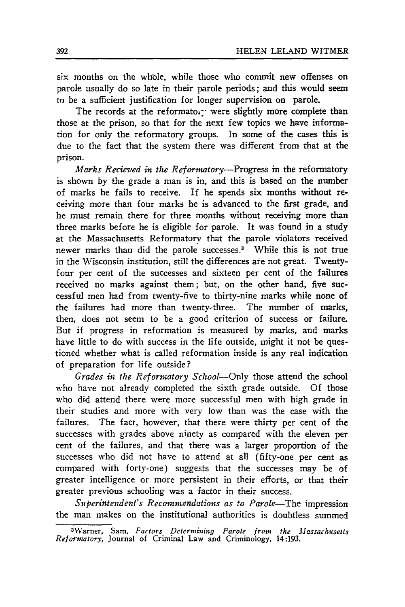six months on the whole, while those who commit new offenses on parole usually do so late in their parole periods; and this would seem to be a sufficient justification for longer supervision on parole.

The records at the reformator were slightly more complete than those at the prison, so that for the next few topics we have information for only the reformatory groups. In some of the cases this is due to the fact that the system there was different from that at the prison.

*Marks Recieved in the Reformatory-Progress* in the reformatory is shown by the grade a man is in, and this is based on the number of marks he fails to receive. If he spends six months without receiving more than four marks he is advanced to the first grade, and he must remain there for three months without receiving more than three marks before he is eligible for parole. It was found in a study at the Massachusetts Reformatory that the parole violators received newer marks than did the parole successes.3 While this is not true in the Wisconsin institution, still the differences are not great. Twentyfour per cent of the successes and sixteen per cent of the failures received no marks against them; but, on the other hand, five successful men had from twenty-five to thirty-nine marks while none of the failures had more than twenty-three. The number of marks, then, does not seem to be a good criterion of success or failure. But if progress in reformation is measured by marks, and marks have little to do with success in the life outside, might it not be questioned whether what is called reformation inside is any real indication of preparation for life outside?

*Grades in the Reformatory School-Only* those attend the school who have not already completed the sixth grade outside. Of those who did attend there were more successful men with high grade in their studies and more with very low than was the case with the failures. The fact, however, that there were thirty per cent of the successes with grades above ninety as compared with the eleven per cent of the failures, and that there was a larger proportion of the successes who did not have to attend at all (fifty-one per cent as compared with forty-one) suggests that the successes may be of greater intelligence or more persistent in their efforts, or that their greater previous schooling was a factor in their success.

*Superintendent's Recommendations as to Parole*-The *impression* the man makes on the institutional authorities is doubtless summed

<sup>3</sup>Warner, Sam, *Factors Determining Parole from the Massachusetts Reformatory,* Journal of Criminal Law and Criminology, 14:193.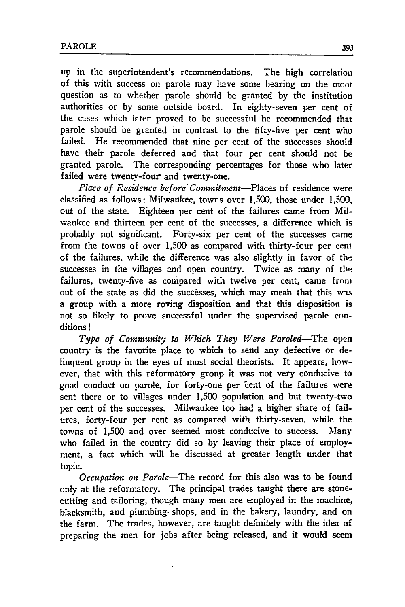up in the superintendent's recommendations. The high correlation of this with success on parole may have some bearing on the moot question as to whether parole should be granted by the institution authorities or by some outside board. In eighty-seven per cent of the cases which later proved to be successful he recommended that parole should be granted in contrast to the fifty-five per cent who failed. He recommended that nine per cent of the successes should have their parole deferred and that four per cent should not be granted parole. The corresponding percentages for those who later failed were twenty-four and twenty-one.

*Place of Residence before Commitment-Places* of residence were classified as follows: Milwaukee, towns over 1,500, those under **1,500,** out of the state. Eighteen per cent of the failures came from Milwaukee and thirteen per cent of the successes, a difference which is probably not significant. Forty-six per cent of the successes came from the towns of over **1,500** as compared with thirty-four per cent of the failures, while the difference was also slightly in favor of the successes in the villages and open country. Twice as many of the failures, twenty-five as compared with twelve per cent, came from out of the state as did the successes, which may mean that this was a group with a more roving disposition and that this disposition is not so likely to prove successful under the supervised parole conditions **!**

*Type of Community to Which They Were Paroled-The* open country is the favorite place to which to send any defective or delinquent group in the eyes of most social theorists. It appears, however, that with this reformatory group it was not very conducive to good conduct on parole, for forty-one per 'cent of the failures were sent there or to villages under 1,500 population and but twenty-two per cent of the successes. Milwaukee too had a higher share of failures, forty-four per cent as compared with thirty-seven, while the towns of 1,500 and over seemed most conducive to success. Many who failed in the country did so by leaving their place of employment, a fact which will be discussed at greater length under that topic.

*Occupation on Parole-The* record for this also was to be found only at the reformatory. The principal trades taught there are stonecutting and tailoring, though many men are employed in the machine, blacksmith, and plumbing- shops, and in the bakery, laundry, and on the farm. The trades, however, are taught definitely with the idea of preparing the men for jobs after being released, and it would seem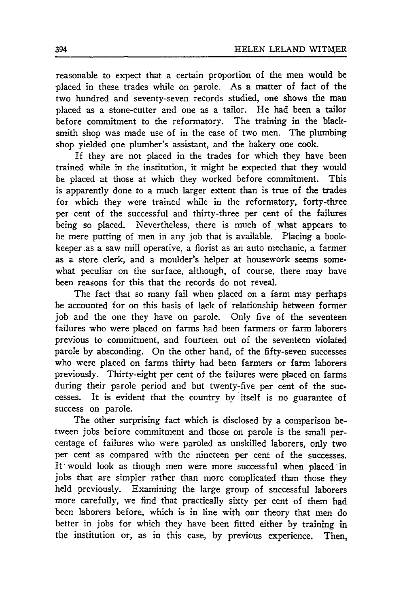reasonable to expect that a certain proportion of the men would be placed in these trades while on parole. As a matter of fact of the two hundred and seventy-seven records studied, one shows the man placed as a stone-cutter and one as a tailor. He had been a tailor before commitment to the reformatory. The training in the blacksmith shop was made use of in the case of two men. The plumbing shop yielded one plumber's assistant, and the bakery one cook.

If they are not placed in the trades for which they have been trained while in the institution, it might be expected that they would be placed at those at which they worked before commitment. This is apparently done to a much larger extent than is true of the trades for which they were trained while in the reformatory, forty-three per cent of the successful and thirty-three per cent of the failures being so placed. Nevertheless, there is much of what appears to be mere putting of men in any job that is available. Placing a bookkeeper.as a saw mill operative, a florist as an auto mechanic, a farmer as a store clerk, and a moulder's helper at housework seems somewhat peculiar on the surface, although, of course, there may have been reasons for this that the records do not reveal.

The fact that so many fail when placed on a farm may perhaps be accounted for on this basis of lack of relationship between former job and the one they have on parole. Only five of the seventeen failures who were placed on farms had been farmers or farm laborers previous to commitment, and fourteen out of the seventeen violated parole by absconding. On the other hand, of the fifty-seven successes who were placed on farms thirty had been farmers or farm laborers previously. Thirty-eight per cent of the failures were placed on farms during their parole period and but twenty-five per cent of the successes. It is evident that the country by itself is no guarantee of success on parole.

The other surprising fact which is disclosed by a comparison between jobs before commitment and those on parole is the small percentage of failures who were paroled as unskilled laborers, only two per cent as compared with the nineteen per cent of the successes. It' would look as though men were more successful when placed in jobs that are simpler rather than more complicated than those they held previously. Examining the large group of successful laborers more carefully, we find that practically sixty per cent of them had been laborers before, which is in line with our theory that men do better in jobs for which they have been fitted either by training in the institution or, as in this case, by previous experience. Then,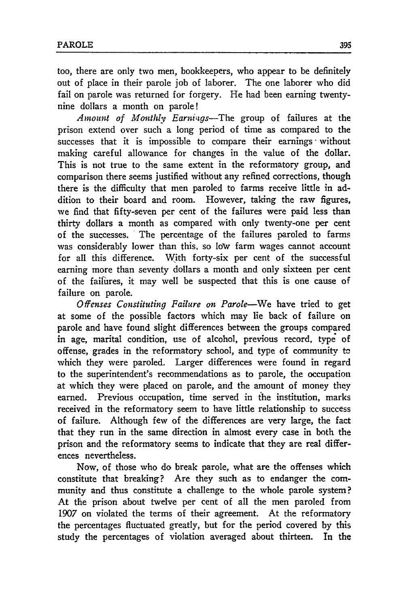too, there are only two men, bookkeepers, who appear to be definitely out of place in their parole job of laborer. The one laborer who did fail on parole was returned for forgery. He had been earning twentynine dollars a month on parole!

*Amount of Monthly Earniigs-The* group of failures at the prison extend over such a long period of time as compared to the successes that it is impossible to compare their earnings without making careful allowance for changes in the value of the dollar. This is not true to the same extent in the reformatory group, and comparison there seems justified without any refined corrections, though there is the difficulty that men paroled to farms receive little in addition to their board and room. However, taking the raw figures, we find that fifty-seven per cent of the failures were paid less than thirty dollars a month as compared with only twenty-one per cent of the successes. The percentage of the failures paroled to farms was considerably lower than this, so low farm wages cannot account for all this difference. With forty-six per cent of the successful earning more than seventy dollars a month and only sixteen per cent of the failures, it may well be suspected that this is one cause of failure on parole.

*Offenses Constituting Failure on Parole-We* have tried to get at some of the possible factors which may lie back of failure on parole and have found slight differences between the groups compared in age, marital condition, use of alcohol, previous record, type of offense, grades in the reformatory school, and type of community tc which they were paroled. Larger differences were found in regard to the superintendent's recommendations as to parole, the occupation at which they were placed on parole, and the amount of money they earned. Previous occupation, time served in the institution, marks received in the reformatory seem to have little relationship to success of failure. Although few of the differences are very large, the fact that they run in the same direction in almost every case in both the prison and the reformatory seems to indicate that they are real differences nevertheless.

Now, of those who do break parole, what are the offenses which constitute that breaking? Are they such as to endanger the community and thus constitute a challenge to the whole parole system? At the prison about twelve per cent of all the men paroled from 1907 on violated the terms of their agreement. At the reformatory the percentages fluctuated greatly, but for the period covered **by** this study the percentages of violation averaged about thirteen. In the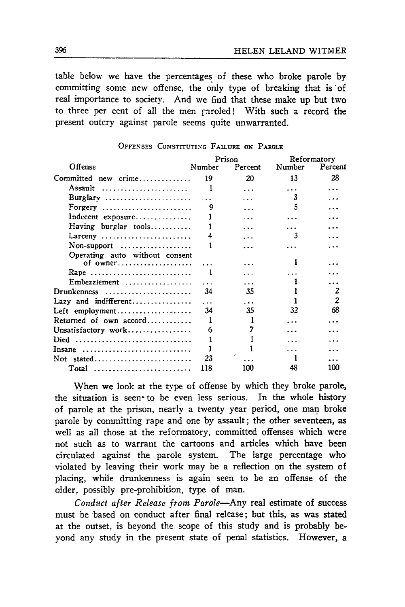table below we have the percentages of these who broke parole by committing some new offense, the only type of breaking that is of real importance to society. And we find that these make up but two to three per cent of all the men paroled! With such a record the present outcry against parole seems quite unwarranted.

|                                                         |        | Prison  | Reformatory |                |  |
|---------------------------------------------------------|--------|---------|-------------|----------------|--|
| Offense                                                 | Number | Percent | Number      | Percent        |  |
| Committed new crime                                     | 19     | 20      | 13          | 28             |  |
| Assault                                                 | 1      | .       |             |                |  |
| Burglary                                                |        |         | 3           |                |  |
| Forgery $\dots\dots\dots\dots\dots\dots\dots\dots\dots$ | 9      |         |             |                |  |
| Indecent exposure                                       |        |         |             |                |  |
| Having burglar tools                                    |        |         |             |                |  |
| Larceny                                                 |        |         |             |                |  |
| Non-support $\dots\dots\dots\dots\dots\dots$            |        |         |             |                |  |
| Operating auto without consent<br>of owner              |        |         |             |                |  |
| Rape                                                    |        |         |             |                |  |
| Embezzlement                                            |        |         |             |                |  |
| Drunkenness                                             | 34     | 35      |             | 2              |  |
| Lazy and indifferent                                    | .      | .       |             | $\overline{c}$ |  |
| Left employment                                         | 34     | 35      | 32          | 68             |  |
| Returned of own $accord$                                | 1      |         |             |                |  |
| Unsatisfactory work                                     | 6      |         |             |                |  |
| Died                                                    |        |         |             |                |  |
| Insane                                                  |        |         |             |                |  |
| Not stated                                              | 23     |         |             |                |  |
| Total                                                   | 118    | 100     |             | 100            |  |

#### **OFFENSES CONSTITUTING** FAILURE **ON** PAROLE

When we look at the type of offense **by** which they broke parole, the situation is seen- to be even less serious. In the whole history of parole at the prison, nearly a twenty year period, one man broke parole **by** committing rape and one **by** assault; the other seventeen, as well as all those at the reformatory, committed offenses which were not such as to warrant the cartoons and articles which have been circulated against the parole system. The large percentage who violated **by** leaving their work may be a reflection on the system of placing, while drunkenness is again seen to be an offense of the older, possibly pre-prohibition, type of man.

*Conduct after Release from Parole-Any* real estimate of success must be based on conduct after final release; but this, as was stated at the outset, is beyond the scope of this study and is probably beyond any study in the present state of penal statistics. However, a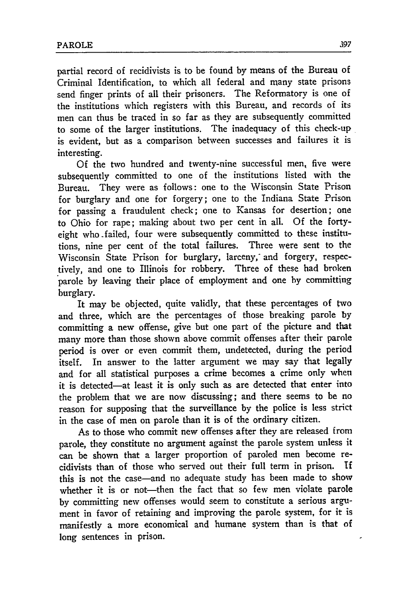partial record of recidivists is to be found by means of the Bureau of Criminal Identification, to which all federal and many state prisons send finger prints of all their prisoners. The Reformatory is one of the institutions which registers with this Bureau, and records of its men can thus be traced in so far as they are subsequently committed to some of the larger institutions. The inadequacy of this check-up is evident, but as a comparison between successes and failures it is interesting.

Of the two hundred and twenty-nine successful men, five were subsequently committed to one of the institutions listed with the Bureau. They were as follows: one to the Wisconsin State Prison for burglary and one for forgery; one to the Indiana State Prison for passing a fraudulent check; one to Kansas for desertion; one to Ohio for rape; making about two per cent in all. Of the fortyeight who .failed, four were subsequently committed to these institutions, nine per cent of the total failures. Three were sent to the Wisconsin State Prison for burglary, larceny, and forgery, respectively, and one to Illinois for robbery. Three of these had broken parole by leaving their place of employment and one by committing burglary.

It may be objected, quite validly, that these percentages of two and three, which are the percentages of those breaking parole by committing a new offense, give but one part of the picture and that many more than those shown above commit offenses after their parole period is over or even commit them, undetected, during the period itself. In answer to the latter argument we may say that legally and for all statistical purposes a crime becomes a crime only when it is detected-at least it is only such as are detected that enter into the problem that we are now discussing; and there seems to be no reason for supposing that the surveillance by the police is less strict in the case of men on parole than it is of the ordinary citizen.

As to those who commit new offenses after they are released from parole, they constitute no argument against the parole system unless it can be shown that a larger proportion of paroled men become recidivists than of those who served out their full term in prison. If this is not the case-and no adequate study has been made to show whether it is or not-then the fact that so few men violate parole by committing new offenses would seem to constitute a serious argument in favor of retaining and improving the parole system, for it is manifestly a more economical and humane system than is that of long sentences in prison.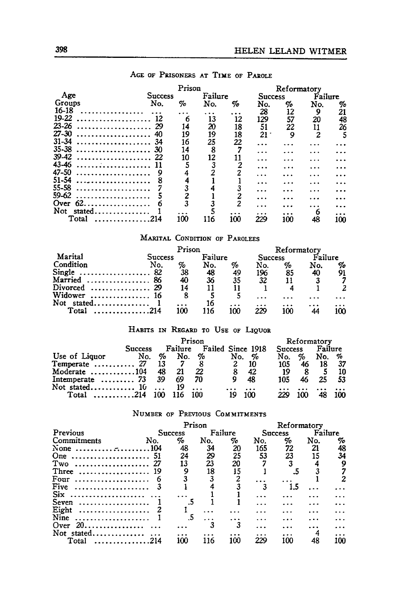|                                          | Prison         |     |     |          | Reformatory |                |                |     |  |
|------------------------------------------|----------------|-----|-----|----------|-------------|----------------|----------------|-----|--|
| Age                                      | <b>Success</b> |     |     | Failure  |             | <b>Success</b> | Failure        |     |  |
| Groups                                   | No.            | %   | No. | %        | No.         | %              | No.            | %   |  |
| 16-18                                    |                |     | .   | $\cdots$ | 28          | 12             | 9              | 21  |  |
| 19-22                                    | 12             | 6   | 13  | 12       | 129         | 57             | 20             | 48  |  |
| $23 - 26$                                | 29             | 14  | 20  | 18       | 51          | 22             | 11             | 26  |  |
| $27 - 30$                                | 40             | 19  | 19  | 18       | 21          | 9              | $\overline{c}$ |     |  |
| $31 - 34$<br>. <b>.</b>                  | 34             | 16  | 25  | 22       | .           |                |                |     |  |
| 35-38<br>. <b>.</b> .                    | 30             | 14  | 8   |          | .           |                | .              |     |  |
| 39.42<br>. <b>.</b>                      | 22             | 10  | 12  |          |             |                | .              |     |  |
| 43-46<br>. <b>.</b>                      |                |     | 3   |          | .           |                | .              |     |  |
| 47-50<br>.                               |                |     |     |          |             |                | .              |     |  |
| $51 - 54$<br>.                           |                |     |     |          | .           | .              | .              |     |  |
| 55-58<br>.                               |                |     |     |          | .           | .              | .              |     |  |
| 59-62<br>.                               |                |     |     |          | .           |                |                |     |  |
| -62.<br>Over<br><b>*************</b> *** |                |     |     | 2        |             |                |                |     |  |
| Not<br>stated                            |                |     |     |          |             | .              | 6              |     |  |
| Total                                    | 214            | 100 | 116 | 100      | 229         | 100            | 48             | 100 |  |
|                                          |                |     |     |          |             |                |                |     |  |

## AGE **OF** PRISONERS **AT TIME OF** PAROLE:

## **MARITAL CONDITION OF PAROLEES**

|                |     | Prison  |     |         | Reformatory |         |     |                |
|----------------|-----|---------|-----|---------|-------------|---------|-----|----------------|
| Marital        |     | Success |     | Failure |             | Success |     | Failure        |
| Condition      | No. | %       | No. | %       | No.         | %       | No. | %              |
|                |     | 38      | 48  | 49      | 196         | 85      | 40  | 91             |
| Married  86    |     | 40      | 36  | 35      | 32          |         |     | $\overline{7}$ |
| Divorced  29   |     | 14      |     |         |             |         |     |                |
| Widower  16    |     |         |     |         | $\ddotsc$   | .       |     | .              |
| Not stated $1$ |     |         | 16  |         |             |         |     | $\cdots$       |
| $Total$ 214    |     | 100     | 116 | 100     | 220         | 100     |     | 100            |

## **HABITS** IN REGARD TO **USE** OF **LIQUOR**

|                                            |                | Prison |             |       |                   |     | Reformatory    |   |         |      |
|--------------------------------------------|----------------|--------|-------------|-------|-------------------|-----|----------------|---|---------|------|
|                                            | <b>Success</b> |        | Failure     |       | Failed Since 1918 |     | <b>Success</b> |   | Failure |      |
| Use of Liquor                              | No.            | %      | No.         | %     | No.               | %   | No. .          | % | No.     | %    |
| $Temperature$ 27                           |                | - 13   |             |       |                   | 10  | 105            |   | 18      | - 37 |
| Moderate $\ldots \ldots \ldots \ldots 104$ |                | 48     | 21          | 22    | 8                 | 42  | 19             |   |         | 10   |
| Intemperate $\dots\dots 73$                |                | - 39   | 69          | 70    | 9                 | 48  | 105            |   | 25      | -53  |
| Not stated 10<br>Total 214 100             |                |        | 19<br>- 116 | - 100 | 19                | 100 | 229            |   |         | 100  |

## **NUMBER** OF **PREVIOUS COMMITMENTS**

|                       |         | Prison |         |     | Reformatory    |     |         |     |
|-----------------------|---------|--------|---------|-----|----------------|-----|---------|-----|
| Previous              | Success |        | Failure |     | <b>Success</b> |     | Failure |     |
| Commitments           | No.     | %      | No.     | %   | No.            | %   | No.     | %   |
| None                  |         | 48     | 34      | 20  | 165            | 72  | 21      | 48  |
| One.                  |         | 24     | 29      | 25  | 53             | 23  |         | 34  |
| Two                   |         | 13     | 23      | 20  |                |     |         | 9   |
| Three<br>             | - 19    | 9      | 18      | 15  |                |     |         |     |
| Four<br>. <b>.</b> .  |         |        |         | っ   |                |     |         |     |
| Five<br>.             |         |        |         |     | 3              | 1.5 |         |     |
| Six.                  |         |        |         |     |                |     |         |     |
| Seven<br>. <i>.</i> . |         |        |         |     |                |     |         |     |
| Eight<br>.            |         |        |         |     |                |     |         |     |
| Nine                  |         | .5     |         |     |                |     |         |     |
| Over 20               |         |        |         |     |                |     |         |     |
| Not stated            |         |        |         |     | .              | .   |         |     |
| Total<br>. . <i>.</i> | 214     | 100    | 116     | 100 | 229            | 100 | 48      | 100 |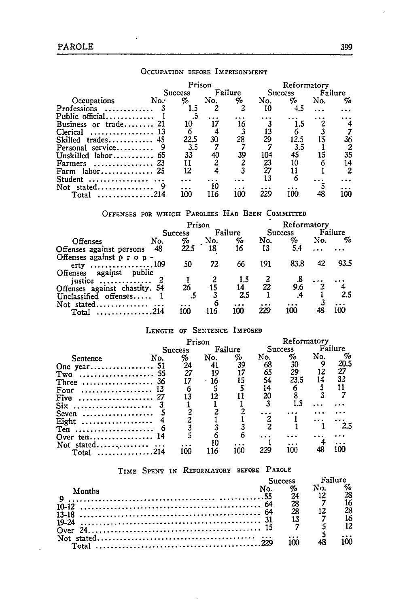|                                             | Prison         |     |          | Reformatory |                |     |          |
|---------------------------------------------|----------------|-----|----------|-------------|----------------|-----|----------|
|                                             | <b>Success</b> |     | Failure  |             | <b>Success</b> |     | Failure  |
| Occupations<br>No.                          | $\%$           | No. | %        | No.         | %              | No. | %        |
| Professions<br><b>Contractor</b> Contractor | 1.5            |     | 2        | 10          | 4.5            |     |          |
| Public official                             |                |     |          |             |                |     |          |
| Business or trade<br>21                     | 10             | 17  | 16       |             | 1.5            |     | 4        |
| <b>Clerical</b><br>. 13                     |                |     |          | 13          |                |     |          |
| <b>Skilled</b><br>$trades.$                 | 22.5           | 30  | 28       | 29          | 12.5           | 15  | 36       |
| Personal service                            | 3.5            |     |          |             | 3.5            |     | 2        |
| Unskilled labor $65$                        | 33             | 40  | 39       | 104         | 45             | 15  | 35       |
| . 23<br><b>Farmers</b>                      |                |     |          | 23          | 10             |     | 14       |
| Farm                                        | 12             |     |          | 27          | 11             |     | 2        |
| Student                                     |                |     |          |             | 6              |     |          |
| Not stated                                  |                | 10  |          |             |                |     |          |
| . 214<br>Total                              | 100            | 116 | .<br>100 | 229         | 100            | 48  | .<br>100 |
|                                             |                |     |          |             |                |     |          |

## **OCCUPATION BEFORE IMPRISONMENT**

## **OFFENSES** FOR WHICH PAROLEES **HAD BEEN** COMMITTED

|                                                                         | Prison  |      |          |          | Reformatory    |      |         |      |
|-------------------------------------------------------------------------|---------|------|----------|----------|----------------|------|---------|------|
|                                                                         | Success |      | Failure  |          | <b>Success</b> |      | Failure |      |
| Offenses                                                                | No.     | %    | No.      | %        | No.            | %    | No.     | %    |
| Offenses against persons                                                | 48      | 22.5 | 18       | 16       | 13             | 5.4  |         |      |
| Offenses against $p \r o \r o$ -<br>erty 109<br>Offenses against public |         | 50   | 72       | 66       | 191            | 83.8 | 42      | 93.5 |
| justice                                                                 |         |      |          | 1.5      |                | .8   |         |      |
| Offenses against chastity. 54                                           |         | 26   |          | 14       | 22             | 9.6  |         |      |
| Unclassified offenses                                                   |         |      |          | 2.5      |                |      |         | 2.5  |
| Not stated<br>. 214<br>Total                                            |         | 100  | 6<br>116 | .<br>100 | 229            | 100  | 48      | 10O  |

## **LENGTH OF SENTENCE IMPOSED**

|                                                 | Prison<br>Failure<br><b>Success</b><br>%<br>No.<br>No.<br>24<br>27<br>19<br>16<br>12 |     |      |     | Reformatory |         |     |         |  |
|-------------------------------------------------|--------------------------------------------------------------------------------------|-----|------|-----|-------------|---------|-----|---------|--|
|                                                 |                                                                                      |     |      |     |             | Success |     | Failure |  |
| Sentence                                        |                                                                                      |     |      | Ho  | No.         | %       | No. | %       |  |
| One year 51                                     |                                                                                      |     |      | 39  | 68          | 30      |     | 20.5    |  |
| Two                                             |                                                                                      |     |      |     | 65          | 29      | 12  | 27      |  |
| . 36<br>Three                                   |                                                                                      |     |      |     | 54          | 23.5    | 14  | 32      |  |
| . 13<br>Four                                    |                                                                                      |     |      |     | 14          |         |     |         |  |
| Five                                            |                                                                                      |     |      |     | 20          |         |     |         |  |
| Six                                             |                                                                                      |     |      |     |             |         |     |         |  |
| Seven<br>.                                      |                                                                                      |     |      |     |             |         |     |         |  |
| Eight                                           |                                                                                      |     |      |     |             |         |     |         |  |
| $Ten \ldots \ldots \ldots \ldots \ldots \ldots$ |                                                                                      |     |      |     |             |         |     | 2.5     |  |
|                                                 |                                                                                      |     |      |     |             |         |     |         |  |
| Not stated                                      |                                                                                      |     | 10   |     |             |         |     |         |  |
| . 214<br>Total                                  |                                                                                      | 100 | ้ 16 | 100 | 229         | 100     | 48  | 100     |  |

## TIME **SPENT IN** REFORMATORY **BEFORE PAROLE**

|        | Failure<br>Success |          |                             |  |  |
|--------|--------------------|----------|-----------------------------|--|--|
| Months |                    | 24       | $\%$ No.<br>12 <sup>°</sup> |  |  |
|        |                    | 28<br>28 | 12                          |  |  |
|        |                    | 13       |                             |  |  |
|        |                    |          |                             |  |  |
|        |                    | ۱M       |                             |  |  |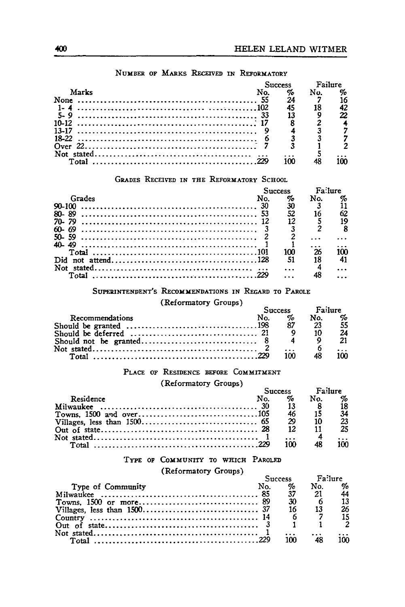|       |  | Failu |     |    |
|-------|--|-------|-----|----|
| Marks |  | %     | No. | %  |
|       |  | 24    |     |    |
|       |  | 45    |     | 42 |
|       |  |       |     |    |
|       |  |       |     |    |
|       |  |       |     |    |
|       |  |       |     |    |
|       |  |       |     |    |
|       |  |       |     |    |
|       |  | 1ሰበ   |     | ۱M |
|       |  |       |     |    |

## **NUMBER OF MARxs RECEivED ix REFORMATORY**

## **GRADES** RECEIVED **IN THE REFORMATORY SCHOOL**

|              | <b>Success</b> | Fo lure |  |
|--------------|----------------|---------|--|
| Grades       | %              | N٥.     |  |
|              | 30             |         |  |
| 80-89        | 52             |         |  |
| $70 - 79$    |                |         |  |
| 60-<br>-69   |                |         |  |
|              |                |         |  |
| <b>AN 40</b> |                |         |  |
| Total        | າດາ            |         |  |
|              | 51             |         |  |
| $stated$     |                |         |  |
|              |                |         |  |
|              |                |         |  |

## SUPERINTENDENT'S RECOMMENDATIONS IN REGARD TO PAROLE

(Reformatory Groups) Success **Fairs** 

|                        | <b>Success</b> | <b>PA!!!!PP</b> |           |
|------------------------|----------------|-----------------|-----------|
| <b>Recommendations</b> |                | No.             | %         |
|                        |                | -23             | 55        |
|                        |                |                 | 2Δ        |
|                        |                |                 | 21        |
|                        |                |                 | $\ddotsc$ |
|                        | 100            |                 | າທ        |

## **PLAcE oF RESIDENCE BEFORE COMMITMENT**

## (Reformatory Groups) **Supplementary** Fast

|           |     |                        | Success Failure |     |
|-----------|-----|------------------------|-----------------|-----|
| Residence | No. | $\mathcal{A}_{\alpha}$ | No.             | %   |
|           |     |                        |                 | İ8. |
|           |     |                        |                 | 34  |
|           |     | - 29                   |                 | 23  |
|           |     |                        | $12 \t11$       | 25  |
|           |     |                        |                 |     |
|           |     | າດດ                    |                 | າດດ |

## **TYPE OF** COMMUNITY **TO WHICH PAROLED**

(Reformatory Groups)

|                   |     | Success                | <b>Failure</b> |                   |
|-------------------|-----|------------------------|----------------|-------------------|
| Type of Community | No. | $\mathcal{A}_{\alpha}$ | No.            | $\sigma_{\alpha}$ |
|                   |     | 37                     | - 21           | 44                |
|                   |     | - 30                   |                | 13                |
|                   |     | 16                     | -13            | 26                |
|                   |     |                        |                | 15                |
|                   |     |                        |                |                   |
|                   |     |                        |                |                   |
|                   |     | ากก                    |                | 100               |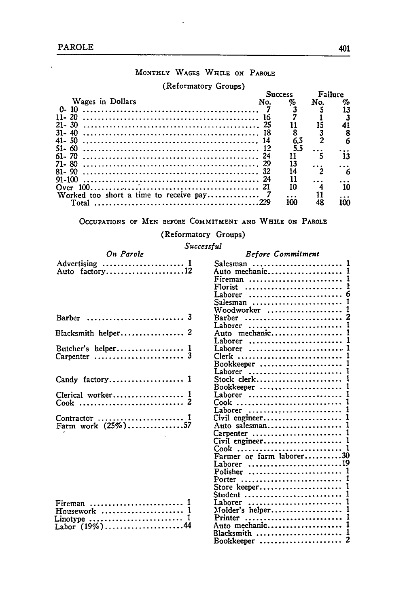l.

## **MONTHLY WAGES WHILE ON PAROLE**

#### (Reformatory Groups)

|     |    | Failure                                                     |          |
|-----|----|-------------------------------------------------------------|----------|
| No. | %  | No.                                                         | %        |
|     |    |                                                             |          |
| -16 |    |                                                             |          |
|     |    |                                                             | 41       |
|     |    |                                                             | 8        |
| 14  |    |                                                             |          |
|     |    |                                                             |          |
|     | 11 |                                                             | 13       |
|     |    |                                                             |          |
|     |    |                                                             | 6        |
|     |    |                                                             |          |
|     |    |                                                             | 10       |
|     | .  |                                                             |          |
|     |    |                                                             | 100      |
|     |    | <b>Success</b><br>6.5<br>5.5<br>13<br>14<br>11<br>10<br>100 | 11<br>48 |

## **OCCUPATIONS OF MEN** BEFORE **COMMITMENT AND WHILE ON** PAROLE

## (Reformatory Groups)

## *Successful*

| On Parole      |  |
|----------------|--|
| Auto factory12 |  |

| Blacksmith helper 2                |  |
|------------------------------------|--|
| Carpenter  3                       |  |
| Candy factory 1                    |  |
| Clerical worker 1                  |  |
| Contractor  1<br>Farm work (25%)57 |  |

 $\mathbf{r}$ 

| - 344                         |
|-------------------------------|
| <b>Before Commitment</b>      |
|                               |
|                               |
| $\mathbf{1}$<br>Fireman       |
| ŧ<br>$Florist$                |
| 6<br>Laborer                  |
| 1<br>Salesman                 |
| Woodworker<br>1               |
| 2<br>Barber                   |
| 1<br>Laborer                  |
| 1<br>Auto mechanic            |
| 1<br>Laborer                  |
| 1<br>Laborer                  |
| 1                             |
| 1<br>Bookkeeper               |
| 1<br>Laborer                  |
| Stock clerk<br>1              |
| 1<br>Bookkeeper               |
| 1<br>Laborer                  |
| 1<br>Cook                     |
| 1<br>Laborer                  |
| 1<br>Civil engineer           |
| 1<br>Auto salesman            |
| $\mathbf{1}$<br>Carpenter     |
| 1<br>Civil engineer           |
| 1                             |
|                               |
| Laborer 19                    |
| Polisher<br>1                 |
| 1<br>Porter                   |
| 1<br>Store keeper             |
| 1<br>Student                  |
| 1<br>Laborer                  |
| Molder's helper<br>1          |
| 1<br>Printer<br>Auto mechanic |
| 1                             |
| 1<br>Blacksmith               |

Bookkeeper ...................... 2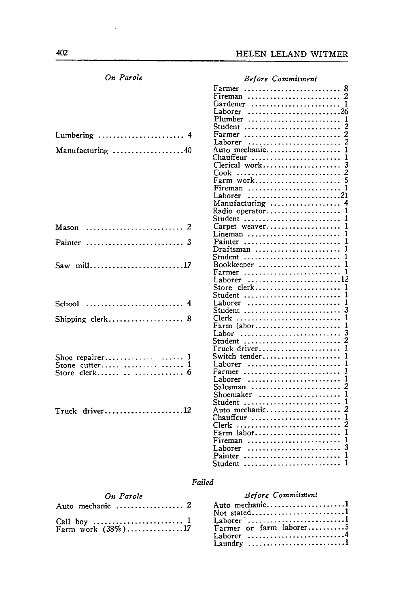| On Parole                | <b>Before Commitment</b> |
|--------------------------|--------------------------|
|                          | Farmer  8                |
|                          |                          |
|                          | Gardener  1              |
|                          | Laborer 26               |
|                          |                          |
|                          |                          |
|                          |                          |
| Lumbering  4             | Farmer  2                |
|                          |                          |
| Manufacturing 40         | Auto mechanic 1          |
|                          | Chauffeur  1             |
|                          | Clerical work 3          |
|                          |                          |
|                          | Farm work 5              |
|                          |                          |
|                          |                          |
|                          | Manufacturing  4         |
|                          |                          |
|                          |                          |
|                          |                          |
| Mason  2                 |                          |
|                          | Lineman  1               |
| Painter  3               | Painter  1               |
|                          | Draftsman  1             |
|                          |                          |
| Saw mill17               | Bookkeeper  1            |
|                          |                          |
|                          | Laborer 12               |
|                          | Store clerk 1            |
|                          | Student  1               |
|                          |                          |
|                          | Student  3               |
| Shipping clerk 8         | Clerk  1                 |
|                          | Farm labor 1             |
|                          |                          |
|                          |                          |
|                          |                          |
|                          |                          |
| Shoe repairer $\ldots$ 1 | Switch tender 1          |
| Stone cutter   1         |                          |
| Store clerk   6          |                          |
|                          |                          |
|                          | Salesman  2              |
|                          |                          |
|                          |                          |
| $True k$ driver12        | Auto mechanic 2          |
|                          | Chauffeur  1             |
|                          |                          |
|                          | Farm labor 1             |
|                          | Fireman  1               |
|                          | Laborer  3               |
|                          |                          |
|                          |                          |
|                          |                          |

#### *Failed*

*On Parole*

## *Before Commitment*

|                                           | Not stated1 |
|-------------------------------------------|-------------|
|                                           |             |
| Farm work (38%)17 Farmer or farm laborer5 |             |

 $\ddot{\phantom{a}}$